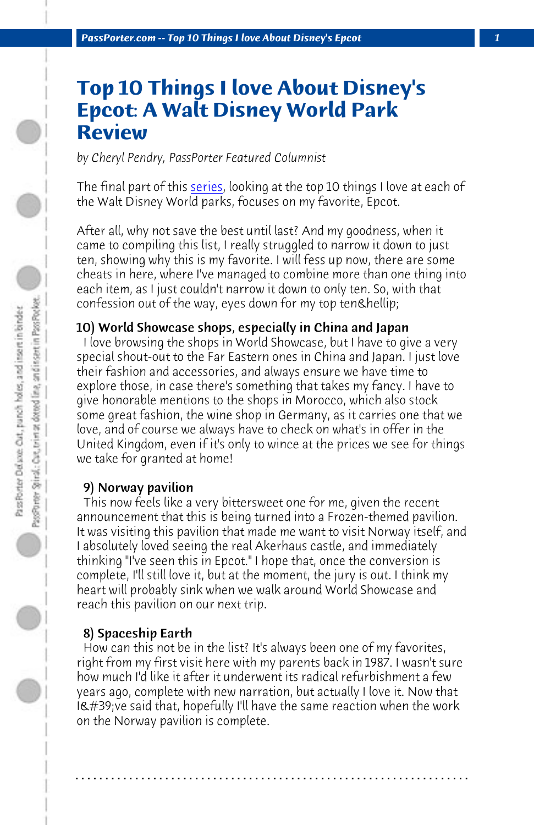*PassPorter.com -- Top 10 Things I love About Disney's Epcot 1*

# **Top 10 Things I love About Disney's Epcot: A Walt Disney World Park Review**

*by Cheryl Pendry, PassPorter Featured Columnist*

The final part of this series, looking at the top 10 things I love at each of the Walt Disney World parks, focuses on my favorite, Epcot.

After all, why not save the best until last? And my goodness, when it came to compiling this list, I really struggled to narrow it down to just ten, showing why this is my favorite. I will fess up now, there are some cheats in here, where I've managed to combine more than one thing into each item, as I just couldn't narrow it down to only ten. So, with that confession out of the way, eyes down for my top ten & hellip;

## 10) World Showcase shops, especially in China and Japan

I love browsing the shops in World Showcase, but I have to give a very special shout-out to the Far Eastern ones in China and Japan. I just love their fashion and accessories, and always ensure we have time to explore those, in case there's something that takes my fancy. I have to give honorable mentions to the shops in Morocco, which also stock some great fashion, the wine shop in Germany, as it carries one that we love, and of course we always have to check on what's in offer in the United Kingdom, even if it's only to wince at the prices we see for things we take for granted at home!

#### 9) Norway pavilion

 This now feels like a very bittersweet one for me, given the recent announcement that this is being turned into a Frozen-themed pavilion. It was visiting this pavilion that made me want to visit Norway itself, and I absolutely loved seeing the real Akerhaus castle, and immediately thinking "I've seen this in Epcot." I hope that, once the conversion is complete, I'll still love it, but at the moment, the jury is out. I think my heart will probably sink when we walk around World Showcase and reach this pavilion on our next trip.

#### 8) Spaceship Earth

 How can this not be in the list? It's always been one of my favorites, right from my first visit here with my parents back in 1987. I wasn't sure how much I'd like it after it underwent its radical refurbishment a few years ago, complete with new narration, but actually I love it. Now that I' ve said that, hopefully I'll have the same reaction when the work on the Norway pavilion is complete.

**. . . . . . . . . . . . . . . . . . . . . . . . . . . . . . . . . . . . . . . . . . . . . . . . . . . . . . . . . . . . . . . . . .**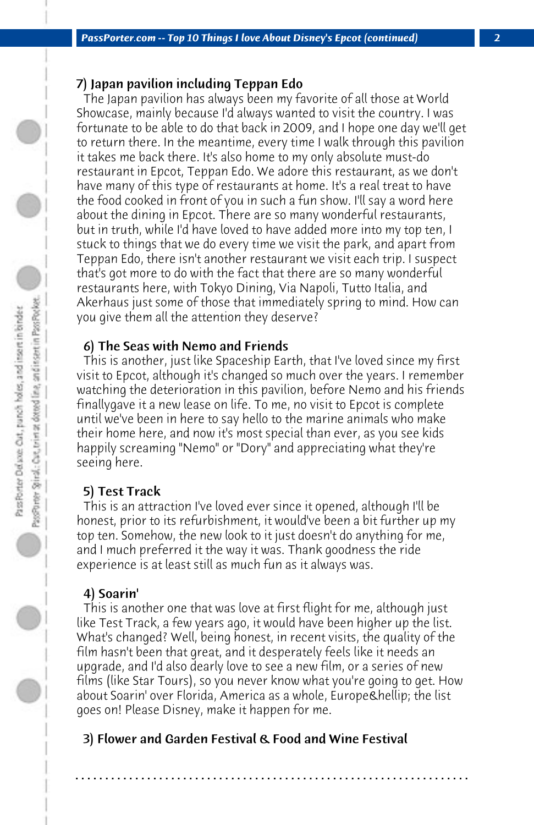# 7) Japan pavilion including Teppan Edo

 The Japan pavilion has always been my favorite of all those at World Showcase, mainly because I'd always wanted to visit the country. I was fortunate to be able to do that back in 2009, and I hope one day we'll get to return there. In the meantime, every time I walk through this pavilion it takes me back there. It's also home to my only absolute must-do restaurant in Epcot, Teppan Edo. We adore this restaurant, as we don't have many of this type of restaurants at home. It's a real treat to have the food cooked in front of you in such a fun show. I'll say a word here about the dining in Epcot. There are so many wonderful restaurants, but in truth, while I'd have loved to have added more into my top ten, I stuck to things that we do every time we visit the park, and apart from Teppan Edo, there isn't another restaurant we visit each trip. I suspect that's got more to do with the fact that there are so many wonderful restaurants here, with Tokyo Dining, Via Napoli, Tutto Italia, and Akerhaus just some of those that immediately spring to mind. How can you give them all the attention they deserve?

## 6) The Seas with Nemo and Friends

 This is another, just like Spaceship Earth, that I've loved since my first visit to Epcot, although it's changed so much over the years. I remember watching the deterioration in this pavilion, before Nemo and his friends finallygave it a new lease on life. To me, no visit to Epcot is complete until we've been in here to say hello to the marine animals who make their home here, and now it's most special than ever, as you see kids happily screaming "Nemo" or "Dory" and appreciating what they're seeing here.

#### 5) Test Track

 This is an attraction I've loved ever since it opened, although I'll be honest, prior to its refurbishment, it would've been a bit further up my top ten. Somehow, the new look to it just doesn't do anything for me, and I much preferred it the way it was. Thank goodness the ride experience is at least still as much fun as it always was.

#### 4) Soarin'

 This is another one that was love at first flight for me, although just like Test Track, a few years ago, it would have been higher up the list. What's changed? Well, being honest, in recent visits, the quality of the film hasn't been that great, and it desperately feels like it needs an upgrade, and I'd also dearly love to see a new film, or a series of new films (like Star Tours), so you never know what you're going to get. How about Soarin' over Florida, America as a whole, Europe… the list goes on! Please Disney, make it happen for me.

**. . . . . . . . . . . . . . . . . . . . . . . . . . . . . . . . . . . . . . . . . . . . . . . . . . . . . . . . . . . . . . . . . .**

## 3) Flower and Garden Festival & Food and Wine Festival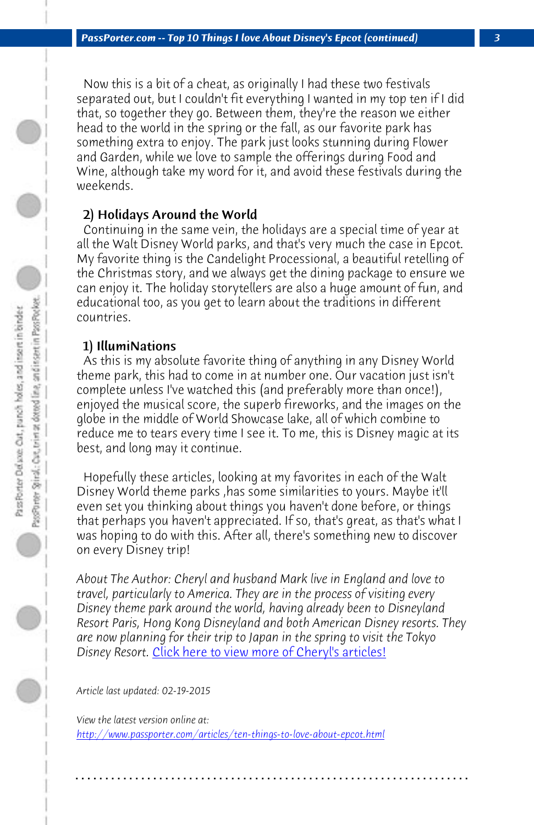*PassPorter.com -- Top 10 Things I love About Disney's Epcot (continued) 3*

 Now this is a bit of a cheat, as originally I had these two festivals separated out, but I couldn't fit everything I wanted in my top ten if I did that, so together they go. Between them, they're the reason we either head to the world in the spring or the fall, as our favorite park has something extra to enjoy. The park just looks stunning during Flower and Garden, while we love to sample the offerings during Food and Wine, although take my word for it, and avoid these festivals during the weekends.

#### 2) Holidays Around the World

 Continuing in the same vein, the holidays are a special time of year at all the Walt Disney World parks, and that's very much the case in Epcot. My favorite thing is the Candelight Processional, a beautiful retelling of the Christmas story, and we always get the dining package to ensure we can enjoy it. The holiday storytellers are also a huge amount of fun, and educational too, as you get to learn about the traditions in different countries.

#### 1) IllumiNations

 As this is my absolute favorite thing of anything in any Disney World theme park, this had to come in at number one. Our vacation just isn't complete unless I've watched this (and preferably more than once!), enjoyed the [musical score, the superb fireworks, and the i](http://www.passporter.com/articles/cheryl-pendry-featured-columnist.asp)mages on the globe in the middle of World Showcase lake, all of which combine to reduce me to tears every time I see it. To me, this is Disney magic at its best, and long may it continue.

 Hopefully these articles, looking at my favorites in each of the Walt [Disney World theme parks ,has some similarities to yours](http://www.passporter.com/articles/ten-things-to-love-about-epcot.php). Maybe it'll even set you thinking about things you haven't done before, or things that perhaps you haven't appreciated. If so, that's great, as that's what I was hoping to do with this. After all, there's something new to discover on every Disney trip!

*About The Author: Cheryl and husband Mark live in England and love to travel, particularly to America. They are in the process of visiting every Disney theme park around the world, having already been to Disneyland Resort Paris, Hong Kong Disneyland and both American Disney resorts. They are now planning for their trip to Japan in the spring to visit the Tokyo Disney Resort.* Click here to view more of Cheryl's articles!

**. . . . . . . . . . . . . . . . . . . . . . . . . . . . . . . . . . . . . . . . . . . . . . . . . . . . . . . . . . . . . . . . . .**

*Article last updated: 02-19-2015*

*View the latest version online at: http://www.passporter.com/articles/ten-things-to-love-about-epcot.html*

 $\circ$